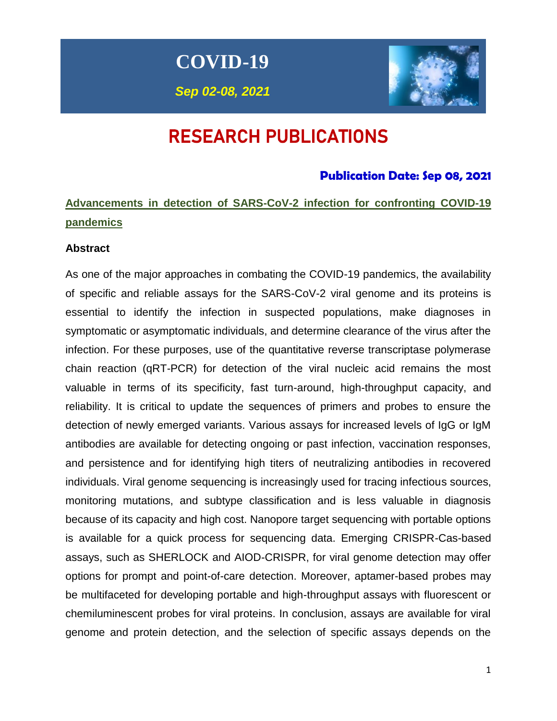**COVID-19**

*Sep 02-08, 2021*



# RESEARCH PUBLICATIONS

# **Publication Date: Sep 08, 2021**

# **Advancements in detection of SARS-CoV-2 infection for confronting COVID-19 pandemics**

#### **Abstract**

As one of the major approaches in combating the COVID-19 pandemics, the availability of specific and reliable assays for the SARS-CoV-2 viral genome and its proteins is essential to identify the infection in suspected populations, make diagnoses in symptomatic or asymptomatic individuals, and determine clearance of the virus after the infection. For these purposes, use of the quantitative reverse transcriptase polymerase chain reaction (qRT-PCR) for detection of the viral nucleic acid remains the most valuable in terms of its specificity, fast turn-around, high-throughput capacity, and reliability. It is critical to update the sequences of primers and probes to ensure the detection of newly emerged variants. Various assays for increased levels of IgG or IgM antibodies are available for detecting ongoing or past infection, vaccination responses, and persistence and for identifying high titers of neutralizing antibodies in recovered individuals. Viral genome sequencing is increasingly used for tracing infectious sources, monitoring mutations, and subtype classification and is less valuable in diagnosis because of its capacity and high cost. Nanopore target sequencing with portable options is available for a quick process for sequencing data. Emerging CRISPR-Cas-based assays, such as SHERLOCK and AIOD-CRISPR, for viral genome detection may offer options for prompt and point-of-care detection. Moreover, aptamer-based probes may be multifaceted for developing portable and high-throughput assays with fluorescent or chemiluminescent probes for viral proteins. In conclusion, assays are available for viral genome and protein detection, and the selection of specific assays depends on the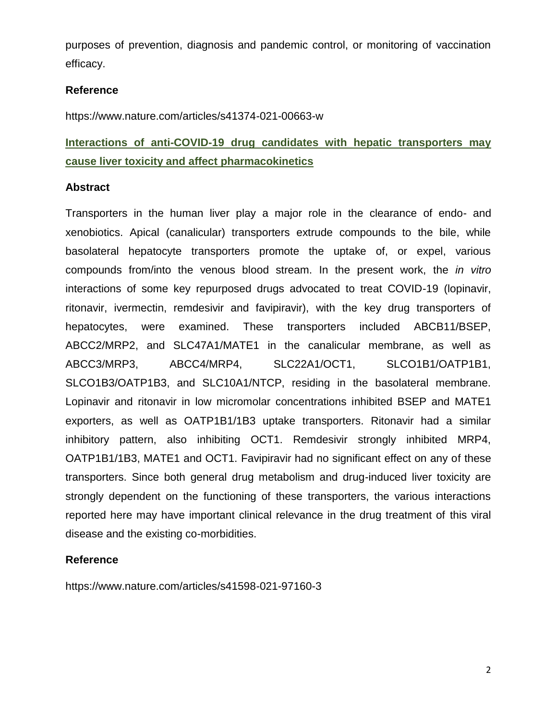purposes of prevention, diagnosis and pandemic control, or monitoring of vaccination efficacy.

#### **Reference**

https://www.nature.com/articles/s41374-021-00663-w

**Interactions of anti-COVID-19 drug candidates with hepatic transporters may cause liver toxicity and affect pharmacokinetics**

#### **Abstract**

Transporters in the human liver play a major role in the clearance of endo- and xenobiotics. Apical (canalicular) transporters extrude compounds to the bile, while basolateral hepatocyte transporters promote the uptake of, or expel, various compounds from/into the venous blood stream. In the present work, the *in vitro* interactions of some key repurposed drugs advocated to treat COVID-19 (lopinavir, ritonavir, ivermectin, remdesivir and favipiravir), with the key drug transporters of hepatocytes, were examined. These transporters included ABCB11/BSEP, ABCC2/MRP2, and SLC47A1/MATE1 in the canalicular membrane, as well as ABCC3/MRP3, ABCC4/MRP4, SLC22A1/OCT1, SLCO1B1/OATP1B1, SLCO1B3/OATP1B3, and SLC10A1/NTCP, residing in the basolateral membrane. Lopinavir and ritonavir in low micromolar concentrations inhibited BSEP and MATE1 exporters, as well as OATP1B1/1B3 uptake transporters. Ritonavir had a similar inhibitory pattern, also inhibiting OCT1. Remdesivir strongly inhibited MRP4, OATP1B1/1B3, MATE1 and OCT1. Favipiravir had no significant effect on any of these transporters. Since both general drug metabolism and drug-induced liver toxicity are strongly dependent on the functioning of these transporters, the various interactions reported here may have important clinical relevance in the drug treatment of this viral disease and the existing co-morbidities.

#### **Reference**

https://www.nature.com/articles/s41598-021-97160-3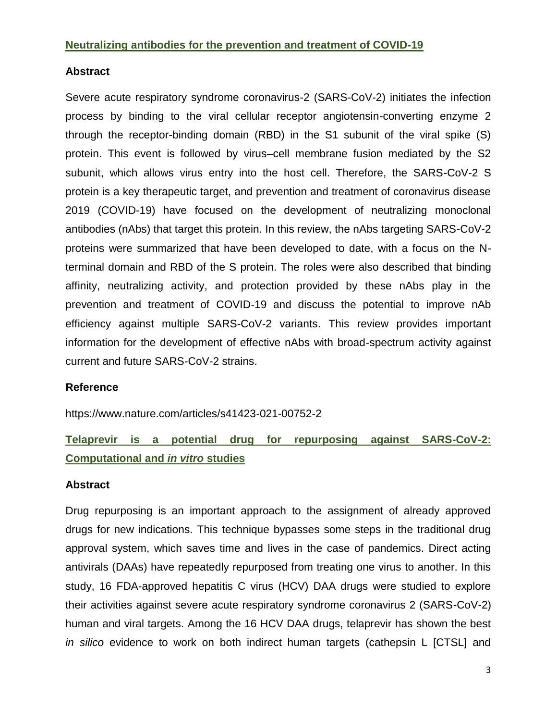#### **Neutralizing antibodies for the prevention and treatment of COVID-19**

## **Abstract**

Severe acute respiratory syndrome coronavirus-2 (SARS-CoV-2) initiates the infection process by binding to the viral cellular receptor angiotensin-converting enzyme 2 through the receptor-binding domain (RBD) in the S1 subunit of the viral spike (S) protein. This event is followed by virus–cell membrane fusion mediated by the S2 subunit, which allows virus entry into the host cell. Therefore, the SARS-CoV-2 S protein is a key therapeutic target, and prevention and treatment of coronavirus disease 2019 (COVID-19) have focused on the development of neutralizing monoclonal antibodies (nAbs) that target this protein. In this review, the nAbs targeting SARS-CoV-2 proteins were summarized that have been developed to date, with a focus on the Nterminal domain and RBD of the S protein. The roles were also described that binding affinity, neutralizing activity, and protection provided by these nAbs play in the prevention and treatment of COVID-19 and discuss the potential to improve nAb efficiency against multiple SARS-CoV-2 variants. This review provides important information for the development of effective nAbs with broad-spectrum activity against current and future SARS-CoV-2 strains.

# **Reference**

https://www.nature.com/articles/s41423-021-00752-2

# **Telaprevir is a potential drug for repurposing against SARS-CoV-2: Computational and** *in vitro* **studies**

# **Abstract**

Drug repurposing is an important approach to the assignment of already approved drugs for new indications. This technique bypasses some steps in the traditional drug approval system, which saves time and lives in the case of pandemics. Direct acting antivirals (DAAs) have repeatedly repurposed from treating one virus to another. In this study, 16 FDA-approved hepatitis C virus (HCV) DAA drugs were studied to explore their activities against severe acute respiratory syndrome coronavirus 2 (SARS-CoV-2) human and viral targets. Among the 16 HCV DAA drugs, telaprevir has shown the best *in silico* evidence to work on both indirect human targets (cathepsin L [CTSL] and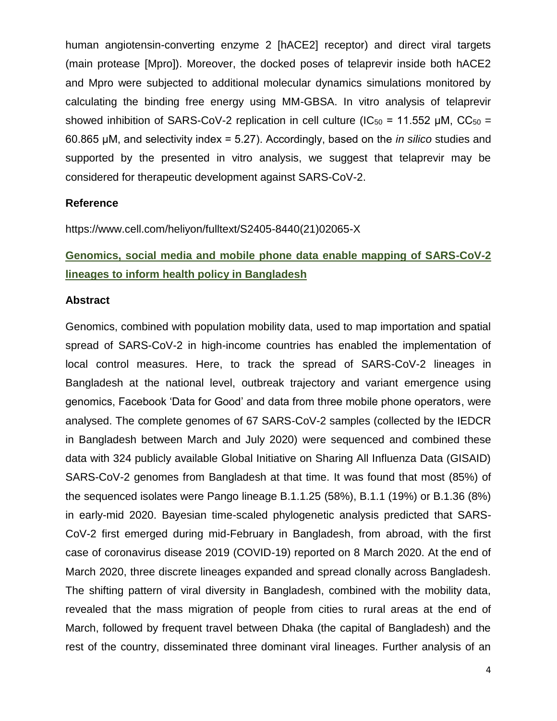human angiotensin-converting enzyme 2 [hACE2] receptor) and direct viral targets (main protease [Mpro]). Moreover, the docked poses of telaprevir inside both hACE2 and Mpro were subjected to additional molecular dynamics simulations monitored by calculating the binding free energy using MM-GBSA. In vitro analysis of telaprevir showed inhibition of SARS-CoV-2 replication in cell culture (IC<sub>50</sub> = 11.552 µM, CC<sub>50</sub> = 60.865 μM, and selectivity index = 5.27). Accordingly, based on the *in silico* studies and supported by the presented in vitro analysis, we suggest that telaprevir may be considered for therapeutic development against SARS-CoV-2.

# **Reference**

https://www.cell.com/heliyon/fulltext/S2405-8440(21)02065-X

# **Genomics, social media and mobile phone data enable mapping of SARS-CoV-2 lineages to inform health policy in Bangladesh**

#### **Abstract**

Genomics, combined with population mobility data, used to map importation and spatial spread of SARS-CoV-2 in high-income countries has enabled the implementation of local control measures. Here, to track the spread of SARS-CoV-2 lineages in Bangladesh at the national level, outbreak trajectory and variant emergence using genomics, Facebook 'Data for Good' and data from three mobile phone operators, were analysed. The complete genomes of 67 SARS-CoV-2 samples (collected by the IEDCR in Bangladesh between March and July 2020) were sequenced and combined these data with 324 publicly available Global Initiative on Sharing All Influenza Data (GISAID) SARS-CoV-2 genomes from Bangladesh at that time. It was found that most (85%) of the sequenced isolates were Pango lineage B.1.1.25 (58%), B.1.1 (19%) or B.1.36 (8%) in early-mid 2020. Bayesian time-scaled phylogenetic analysis predicted that SARS-CoV-2 first emerged during mid-February in Bangladesh, from abroad, with the first case of coronavirus disease 2019 (COVID-19) reported on 8 March 2020. At the end of March 2020, three discrete lineages expanded and spread clonally across Bangladesh. The shifting pattern of viral diversity in Bangladesh, combined with the mobility data, revealed that the mass migration of people from cities to rural areas at the end of March, followed by frequent travel between Dhaka (the capital of Bangladesh) and the rest of the country, disseminated three dominant viral lineages. Further analysis of an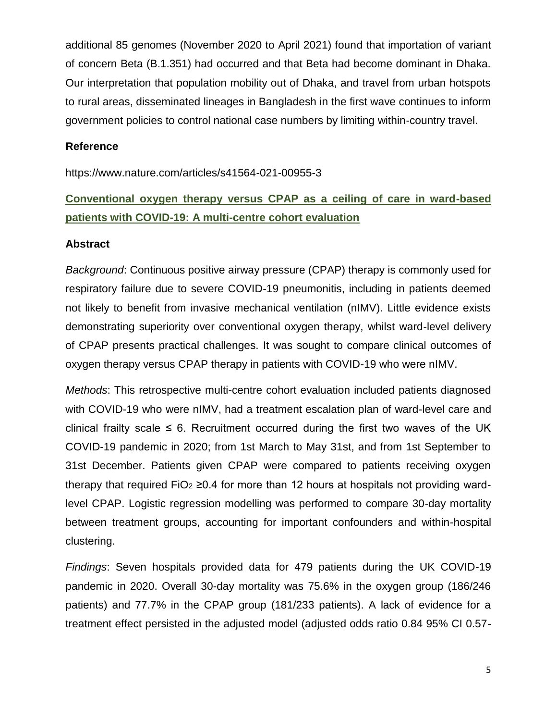additional 85 genomes (November 2020 to April 2021) found that importation of variant of concern Beta (B.1.351) had occurred and that Beta had become dominant in Dhaka. Our interpretation that population mobility out of Dhaka, and travel from urban hotspots to rural areas, disseminated lineages in Bangladesh in the first wave continues to inform government policies to control national case numbers by limiting within-country travel.

#### **Reference**

https://www.nature.com/articles/s41564-021-00955-3

# **Conventional oxygen therapy versus CPAP as a ceiling of care in ward-based patients with COVID-19: A multi-centre cohort evaluation**

# **Abstract**

*Background*: Continuous positive airway pressure (CPAP) therapy is commonly used for respiratory failure due to severe COVID-19 pneumonitis, including in patients deemed not likely to benefit from invasive mechanical ventilation (nIMV). Little evidence exists demonstrating superiority over conventional oxygen therapy, whilst ward-level delivery of CPAP presents practical challenges. It was sought to compare clinical outcomes of oxygen therapy versus CPAP therapy in patients with COVID-19 who were nIMV.

*Methods*: This retrospective multi-centre cohort evaluation included patients diagnosed with COVID-19 who were nIMV, had a treatment escalation plan of ward-level care and clinical frailty scale  $\leq 6$ . Recruitment occurred during the first two waves of the UK COVID-19 pandemic in 2020; from 1st March to May 31st, and from 1st September to 31st December. Patients given CPAP were compared to patients receiving oxygen therapy that required FiO<sub>2</sub> ≥0.4 for more than 12 hours at hospitals not providing wardlevel CPAP. Logistic regression modelling was performed to compare 30-day mortality between treatment groups, accounting for important confounders and within-hospital clustering.

*Findings*: Seven hospitals provided data for 479 patients during the UK COVID-19 pandemic in 2020. Overall 30-day mortality was 75.6% in the oxygen group (186/246 patients) and 77.7% in the CPAP group (181/233 patients). A lack of evidence for a treatment effect persisted in the adjusted model (adjusted odds ratio 0.84 95% CI 0.57-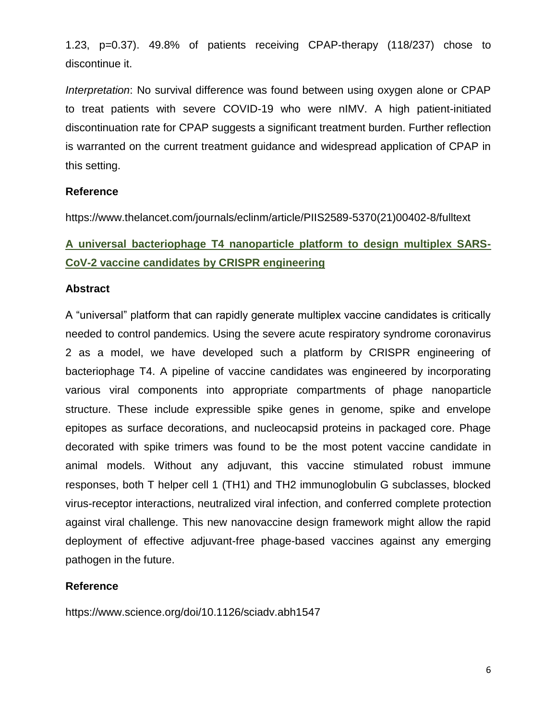1.23, p=0.37). 49.8% of patients receiving CPAP-therapy (118/237) chose to discontinue it.

*Interpretation*: No survival difference was found between using oxygen alone or CPAP to treat patients with severe COVID-19 who were nIMV. A high patient-initiated discontinuation rate for CPAP suggests a significant treatment burden. Further reflection is warranted on the current treatment guidance and widespread application of CPAP in this setting.

# **Reference**

https://www.thelancet.com/journals/eclinm/article/PIIS2589-5370(21)00402-8/fulltext

# **A universal bacteriophage T4 nanoparticle platform to design multiplex SARS-CoV-2 vaccine candidates by CRISPR engineering**

#### **Abstract**

A "universal" platform that can rapidly generate multiplex vaccine candidates is critically needed to control pandemics. Using the severe acute respiratory syndrome coronavirus 2 as a model, we have developed such a platform by CRISPR engineering of bacteriophage T4. A pipeline of vaccine candidates was engineered by incorporating various viral components into appropriate compartments of phage nanoparticle structure. These include expressible spike genes in genome, spike and envelope epitopes as surface decorations, and nucleocapsid proteins in packaged core. Phage decorated with spike trimers was found to be the most potent vaccine candidate in animal models. Without any adjuvant, this vaccine stimulated robust immune responses, both T helper cell 1 (TH1) and TH2 immunoglobulin G subclasses, blocked virus-receptor interactions, neutralized viral infection, and conferred complete protection against viral challenge. This new nanovaccine design framework might allow the rapid deployment of effective adjuvant-free phage-based vaccines against any emerging pathogen in the future.

# **Reference**

https://www.science.org/doi/10.1126/sciadv.abh1547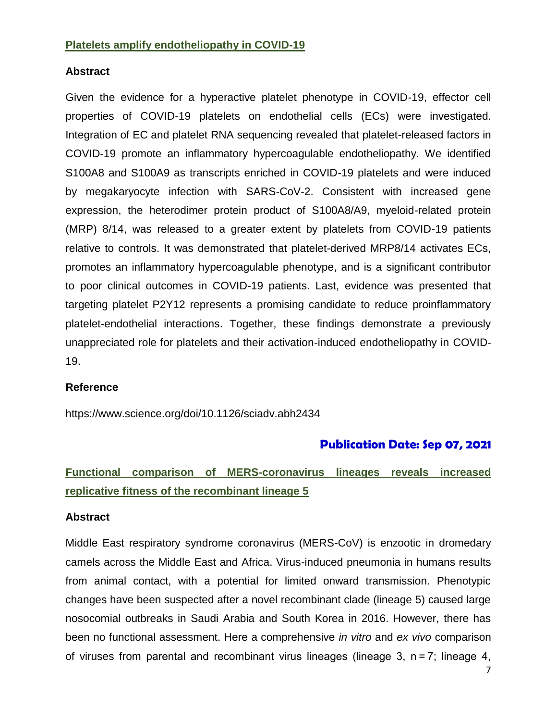#### **Platelets amplify endotheliopathy in COVID-19**

#### **Abstract**

Given the evidence for a hyperactive platelet phenotype in COVID-19, effector cell properties of COVID-19 platelets on endothelial cells (ECs) were investigated. Integration of EC and platelet RNA sequencing revealed that platelet-released factors in COVID-19 promote an inflammatory hypercoagulable endotheliopathy. We identified S100A8 and S100A9 as transcripts enriched in COVID-19 platelets and were induced by megakaryocyte infection with SARS-CoV-2. Consistent with increased gene expression, the heterodimer protein product of S100A8/A9, myeloid-related protein (MRP) 8/14, was released to a greater extent by platelets from COVID-19 patients relative to controls. It was demonstrated that platelet-derived MRP8/14 activates ECs, promotes an inflammatory hypercoagulable phenotype, and is a significant contributor to poor clinical outcomes in COVID-19 patients. Last, evidence was presented that targeting platelet P2Y12 represents a promising candidate to reduce proinflammatory platelet-endothelial interactions. Together, these findings demonstrate a previously unappreciated role for platelets and their activation-induced endotheliopathy in COVID-19.

#### **Reference**

https://www.science.org/doi/10.1126/sciadv.abh2434

# **Publication Date: Sep 07, 2021**

# **Functional comparison of MERS-coronavirus lineages reveals increased replicative fitness of the recombinant lineage 5**

#### **Abstract**

Middle East respiratory syndrome coronavirus (MERS-CoV) is enzootic in dromedary camels across the Middle East and Africa. Virus-induced pneumonia in humans results from animal contact, with a potential for limited onward transmission. Phenotypic changes have been suspected after a novel recombinant clade (lineage 5) caused large nosocomial outbreaks in Saudi Arabia and South Korea in 2016. However, there has been no functional assessment. Here a comprehensive *in vitro* and *ex vivo* comparison of viruses from parental and recombinant virus lineages (lineage 3, n = 7; lineage 4,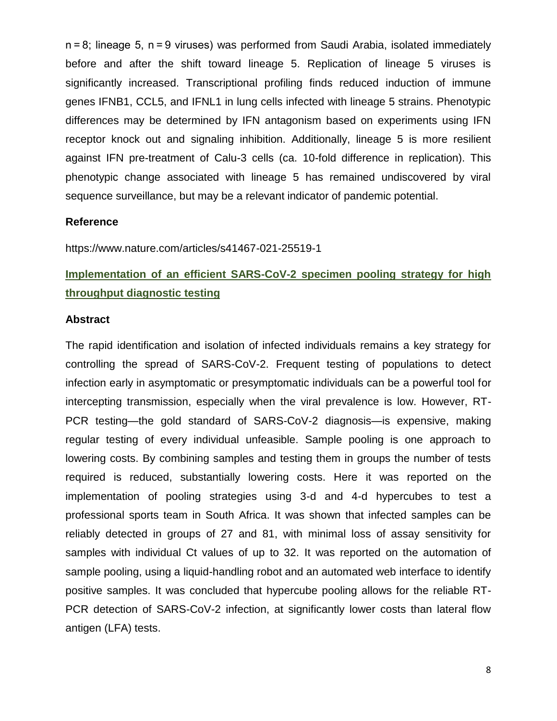n = 8; lineage 5, n = 9 viruses) was performed from Saudi Arabia, isolated immediately before and after the shift toward lineage 5. Replication of lineage 5 viruses is significantly increased. Transcriptional profiling finds reduced induction of immune genes IFNB1, CCL5, and IFNL1 in lung cells infected with lineage 5 strains. Phenotypic differences may be determined by IFN antagonism based on experiments using IFN receptor knock out and signaling inhibition. Additionally, lineage 5 is more resilient against IFN pre-treatment of Calu-3 cells (ca. 10-fold difference in replication). This phenotypic change associated with lineage 5 has remained undiscovered by viral sequence surveillance, but may be a relevant indicator of pandemic potential.

#### **Reference**

https://www.nature.com/articles/s41467-021-25519-1

# **Implementation of an efficient SARS-CoV-2 specimen pooling strategy for high throughput diagnostic testing**

#### **Abstract**

The rapid identification and isolation of infected individuals remains a key strategy for controlling the spread of SARS-CoV-2. Frequent testing of populations to detect infection early in asymptomatic or presymptomatic individuals can be a powerful tool for intercepting transmission, especially when the viral prevalence is low. However, RT-PCR testing—the gold standard of SARS-CoV-2 diagnosis—is expensive, making regular testing of every individual unfeasible. Sample pooling is one approach to lowering costs. By combining samples and testing them in groups the number of tests required is reduced, substantially lowering costs. Here it was reported on the implementation of pooling strategies using 3-d and 4-d hypercubes to test a professional sports team in South Africa. It was shown that infected samples can be reliably detected in groups of 27 and 81, with minimal loss of assay sensitivity for samples with individual Ct values of up to 32. It was reported on the automation of sample pooling, using a liquid-handling robot and an automated web interface to identify positive samples. It was concluded that hypercube pooling allows for the reliable RT-PCR detection of SARS-CoV-2 infection, at significantly lower costs than lateral flow antigen (LFA) tests.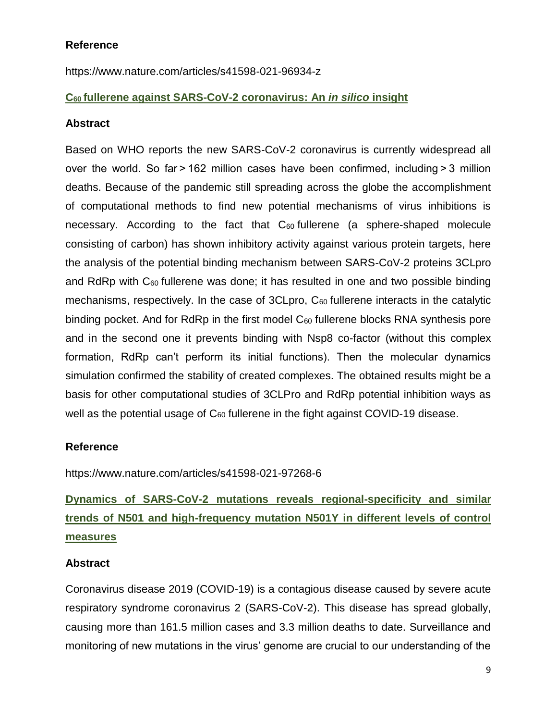# **Reference**

https://www.nature.com/articles/s41598-021-96934-z

# **C60 fullerene against SARS-CoV-2 coronavirus: An** *in silico* **insight**

### **Abstract**

Based on WHO reports the new SARS-CoV-2 coronavirus is currently widespread all over the world. So far > 162 million cases have been confirmed, including > 3 million deaths. Because of the pandemic still spreading across the globe the accomplishment of computational methods to find new potential mechanisms of virus inhibitions is necessary. According to the fact that C<sub>60</sub> fullerene (a sphere-shaped molecule consisting of carbon) has shown inhibitory activity against various protein targets, here the analysis of the potential binding mechanism between SARS-CoV-2 proteins 3CLpro and RdRp with  $C_{60}$  fullerene was done; it has resulted in one and two possible binding mechanisms, respectively. In the case of 3CLpro, C<sub>60</sub> fullerene interacts in the catalytic binding pocket. And for RdRp in the first model  $C_{60}$  fullerene blocks RNA synthesis pore and in the second one it prevents binding with Nsp8 co-factor (without this complex formation, RdRp can't perform its initial functions). Then the molecular dynamics simulation confirmed the stability of created complexes. The obtained results might be a basis for other computational studies of 3CLPro and RdRp potential inhibition ways as well as the potential usage of  $C_{60}$  fullerene in the fight against COVID-19 disease.

# **Reference**

https://www.nature.com/articles/s41598-021-97268-6

# **Dynamics of SARS-CoV-2 mutations reveals regional-specificity and similar trends of N501 and high-frequency mutation N501Y in different levels of control measures**

# **Abstract**

Coronavirus disease 2019 (COVID-19) is a contagious disease caused by severe acute respiratory syndrome coronavirus 2 (SARS-CoV-2). This disease has spread globally, causing more than 161.5 million cases and 3.3 million deaths to date. Surveillance and monitoring of new mutations in the virus' genome are crucial to our understanding of the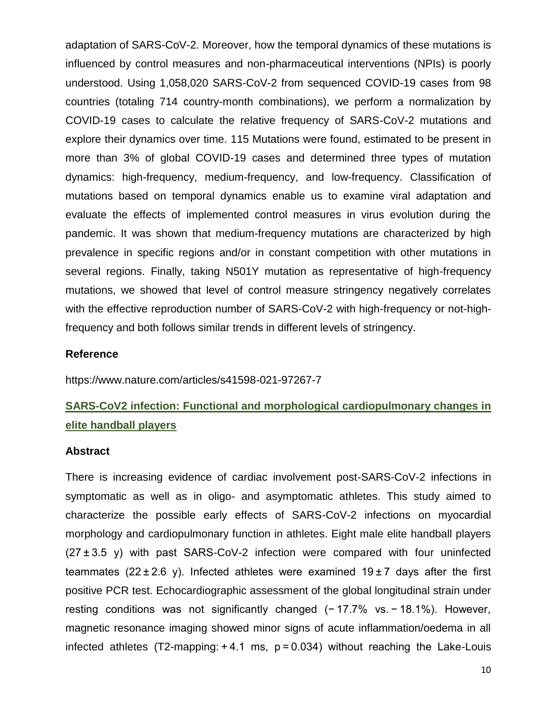adaptation of SARS-CoV-2. Moreover, how the temporal dynamics of these mutations is influenced by control measures and non-pharmaceutical interventions (NPIs) is poorly understood. Using 1,058,020 SARS-CoV-2 from sequenced COVID-19 cases from 98 countries (totaling 714 country-month combinations), we perform a normalization by COVID-19 cases to calculate the relative frequency of SARS-CoV-2 mutations and explore their dynamics over time. 115 Mutations were found, estimated to be present in more than 3% of global COVID-19 cases and determined three types of mutation dynamics: high-frequency, medium-frequency, and low-frequency. Classification of mutations based on temporal dynamics enable us to examine viral adaptation and evaluate the effects of implemented control measures in virus evolution during the pandemic. It was shown that medium-frequency mutations are characterized by high prevalence in specific regions and/or in constant competition with other mutations in several regions. Finally, taking N501Y mutation as representative of high-frequency mutations, we showed that level of control measure stringency negatively correlates with the effective reproduction number of SARS-CoV-2 with high-frequency or not-highfrequency and both follows similar trends in different levels of stringency.

#### **Reference**

https://www.nature.com/articles/s41598-021-97267-7

# **SARS-CoV2 infection: Functional and morphological cardiopulmonary changes in elite handball players**

#### **Abstract**

There is increasing evidence of cardiac involvement post-SARS-CoV-2 infections in symptomatic as well as in oligo- and asymptomatic athletes. This study aimed to characterize the possible early effects of SARS-CoV-2 infections on myocardial morphology and cardiopulmonary function in athletes. Eight male elite handball players  $(27±3.5 y)$  with past SARS-CoV-2 infection were compared with four uninfected teammates (22 $\pm$ 2.6 y). Infected athletes were examined 19 $\pm$ 7 days after the first positive PCR test. Echocardiographic assessment of the global longitudinal strain under resting conditions was not significantly changed (−17.7% vs. −18.1%). However, magnetic resonance imaging showed minor signs of acute inflammation/oedema in all infected athletes (T2-mapping: $+4.1$  ms,  $p = 0.034$ ) without reaching the Lake-Louis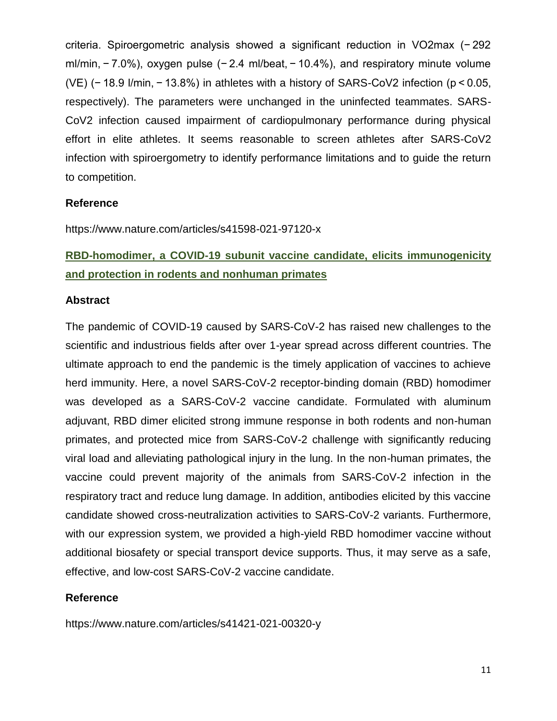criteria. Spiroergometric analysis showed a significant reduction in VO2max (− 292 ml/min, − 7.0%), oxygen pulse (− 2.4 ml/beat, − 10.4%), and respiratory minute volume (VE) (− 18.9 l/min, − 13.8%) in athletes with a history of SARS-CoV2 infection (p < 0.05, respectively). The parameters were unchanged in the uninfected teammates. SARS-CoV2 infection caused impairment of cardiopulmonary performance during physical effort in elite athletes. It seems reasonable to screen athletes after SARS-CoV2 infection with spiroergometry to identify performance limitations and to guide the return to competition.

# **Reference**

https://www.nature.com/articles/s41598-021-97120-x

# **RBD-homodimer, a COVID-19 subunit vaccine candidate, elicits immunogenicity and protection in rodents and nonhuman primates**

#### **Abstract**

The pandemic of COVID-19 caused by SARS-CoV-2 has raised new challenges to the scientific and industrious fields after over 1-year spread across different countries. The ultimate approach to end the pandemic is the timely application of vaccines to achieve herd immunity. Here, a novel SARS-CoV-2 receptor-binding domain (RBD) homodimer was developed as a SARS-CoV-2 vaccine candidate. Formulated with aluminum adjuvant, RBD dimer elicited strong immune response in both rodents and non-human primates, and protected mice from SARS-CoV-2 challenge with significantly reducing viral load and alleviating pathological injury in the lung. In the non-human primates, the vaccine could prevent majority of the animals from SARS-CoV-2 infection in the respiratory tract and reduce lung damage. In addition, antibodies elicited by this vaccine candidate showed cross-neutralization activities to SARS-CoV-2 variants. Furthermore, with our expression system, we provided a high-yield RBD homodimer vaccine without additional biosafety or special transport device supports. Thus, it may serve as a safe, effective, and low-cost SARS-CoV-2 vaccine candidate.

# **Reference**

https://www.nature.com/articles/s41421-021-00320-y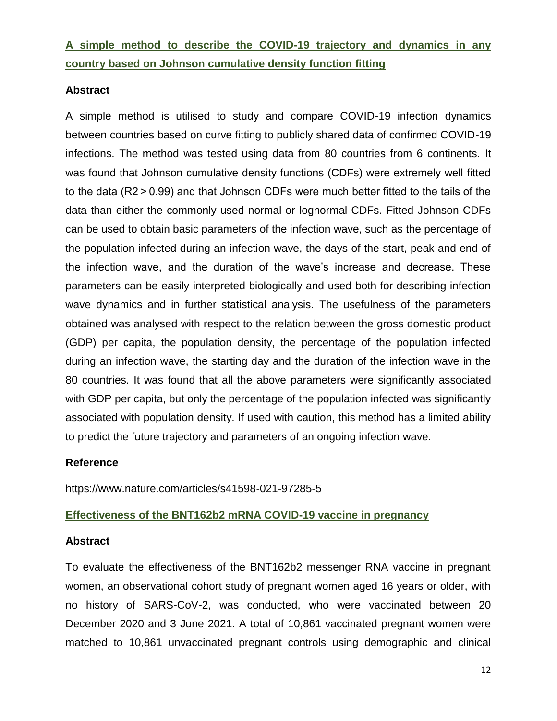**A simple method to describe the COVID-19 trajectory and dynamics in any country based on Johnson cumulative density function fitting**

# **Abstract**

A simple method is utilised to study and compare COVID-19 infection dynamics between countries based on curve fitting to publicly shared data of confirmed COVID-19 infections. The method was tested using data from 80 countries from 6 continents. It was found that Johnson cumulative density functions (CDFs) were extremely well fitted to the data (R2 > 0.99) and that Johnson CDFs were much better fitted to the tails of the data than either the commonly used normal or lognormal CDFs. Fitted Johnson CDFs can be used to obtain basic parameters of the infection wave, such as the percentage of the population infected during an infection wave, the days of the start, peak and end of the infection wave, and the duration of the wave's increase and decrease. These parameters can be easily interpreted biologically and used both for describing infection wave dynamics and in further statistical analysis. The usefulness of the parameters obtained was analysed with respect to the relation between the gross domestic product (GDP) per capita, the population density, the percentage of the population infected during an infection wave, the starting day and the duration of the infection wave in the 80 countries. It was found that all the above parameters were significantly associated with GDP per capita, but only the percentage of the population infected was significantly associated with population density. If used with caution, this method has a limited ability to predict the future trajectory and parameters of an ongoing infection wave.

# **Reference**

https://www.nature.com/articles/s41598-021-97285-5

# **Effectiveness of the BNT162b2 mRNA COVID-19 vaccine in pregnancy**

# **Abstract**

To evaluate the effectiveness of the BNT162b2 messenger RNA vaccine in pregnant women, an observational cohort study of pregnant women aged 16 years or older, with no history of SARS-CoV-2, was conducted, who were vaccinated between 20 December 2020 and 3 June 2021. A total of 10,861 vaccinated pregnant women were matched to 10,861 unvaccinated pregnant controls using demographic and clinical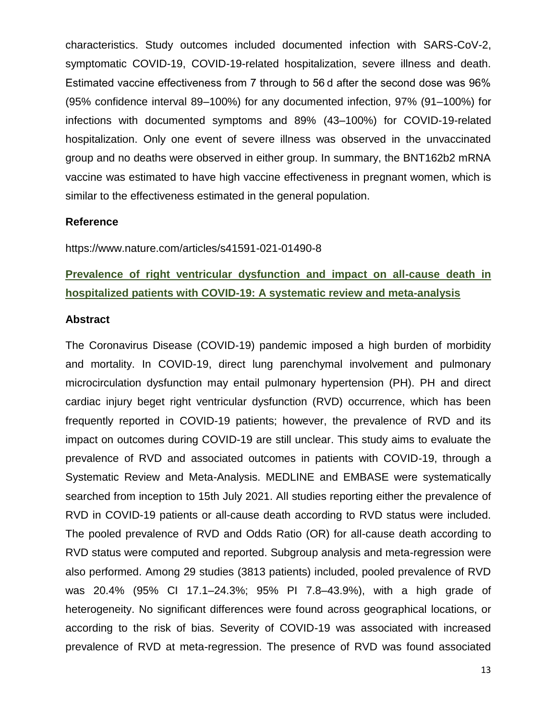characteristics. Study outcomes included documented infection with SARS-CoV-2, symptomatic COVID-19, COVID-19-related hospitalization, severe illness and death. Estimated vaccine effectiveness from 7 through to 56 d after the second dose was 96% (95% confidence interval 89–100%) for any documented infection, 97% (91–100%) for infections with documented symptoms and 89% (43–100%) for COVID-19-related hospitalization. Only one event of severe illness was observed in the unvaccinated group and no deaths were observed in either group. In summary, the BNT162b2 mRNA vaccine was estimated to have high vaccine effectiveness in pregnant women, which is similar to the effectiveness estimated in the general population.

#### **Reference**

https://www.nature.com/articles/s41591-021-01490-8

# **Prevalence of right ventricular dysfunction and impact on all-cause death in hospitalized patients with COVID-19: A systematic review and meta-analysis**

#### **Abstract**

The Coronavirus Disease (COVID-19) pandemic imposed a high burden of morbidity and mortality. In COVID-19, direct lung parenchymal involvement and pulmonary microcirculation dysfunction may entail pulmonary hypertension (PH). PH and direct cardiac injury beget right ventricular dysfunction (RVD) occurrence, which has been frequently reported in COVID-19 patients; however, the prevalence of RVD and its impact on outcomes during COVID-19 are still unclear. This study aims to evaluate the prevalence of RVD and associated outcomes in patients with COVID-19, through a Systematic Review and Meta-Analysis. MEDLINE and EMBASE were systematically searched from inception to 15th July 2021. All studies reporting either the prevalence of RVD in COVID-19 patients or all-cause death according to RVD status were included. The pooled prevalence of RVD and Odds Ratio (OR) for all-cause death according to RVD status were computed and reported. Subgroup analysis and meta-regression were also performed. Among 29 studies (3813 patients) included, pooled prevalence of RVD was 20.4% (95% CI 17.1–24.3%; 95% PI 7.8–43.9%), with a high grade of heterogeneity. No significant differences were found across geographical locations, or according to the risk of bias. Severity of COVID-19 was associated with increased prevalence of RVD at meta-regression. The presence of RVD was found associated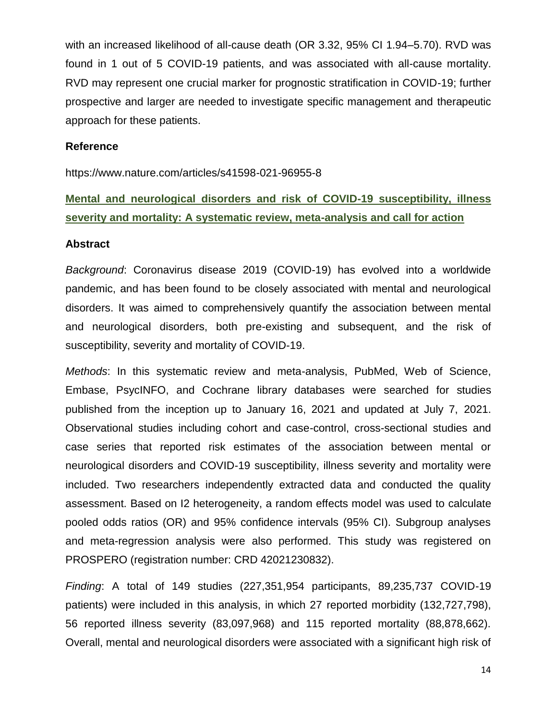with an increased likelihood of all-cause death (OR 3.32, 95% CI 1.94–5.70). RVD was found in 1 out of 5 COVID-19 patients, and was associated with all-cause mortality. RVD may represent one crucial marker for prognostic stratification in COVID-19; further prospective and larger are needed to investigate specific management and therapeutic approach for these patients.

#### **Reference**

https://www.nature.com/articles/s41598-021-96955-8

# **Mental and neurological disorders and risk of COVID-19 susceptibility, illness severity and mortality: A systematic review, meta-analysis and call for action**

#### **Abstract**

*Background*: Coronavirus disease 2019 (COVID-19) has evolved into a worldwide pandemic, and has been found to be closely associated with mental and neurological disorders. It was aimed to comprehensively quantify the association between mental and neurological disorders, both pre-existing and subsequent, and the risk of susceptibility, severity and mortality of COVID-19.

*Methods*: In this systematic review and meta-analysis, PubMed, Web of Science, Embase, PsycINFO, and Cochrane library databases were searched for studies published from the inception up to January 16, 2021 and updated at July 7, 2021. Observational studies including cohort and case-control, cross-sectional studies and case series that reported risk estimates of the association between mental or neurological disorders and COVID-19 susceptibility, illness severity and mortality were included. Two researchers independently extracted data and conducted the quality assessment. Based on I2 heterogeneity, a random effects model was used to calculate pooled odds ratios (OR) and 95% confidence intervals (95% CI). Subgroup analyses and meta-regression analysis were also performed. This study was registered on PROSPERO (registration number: CRD 42021230832).

*Finding*: A total of 149 studies (227,351,954 participants, 89,235,737 COVID-19 patients) were included in this analysis, in which 27 reported morbidity (132,727,798), 56 reported illness severity (83,097,968) and 115 reported mortality (88,878,662). Overall, mental and neurological disorders were associated with a significant high risk of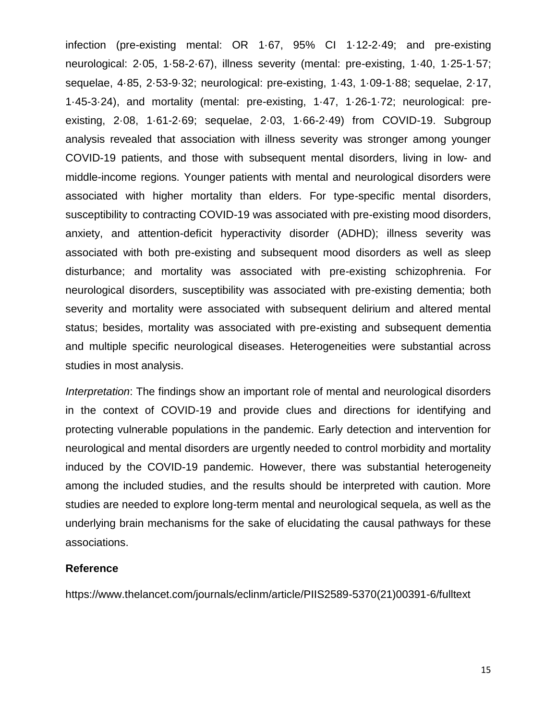infection (pre-existing mental: OR 1·67, 95% CI 1·12-2·49; and pre-existing neurological: 2·05, 1·58-2·67), illness severity (mental: pre-existing, 1·40, 1·25-1·57; sequelae, 4·85, 2·53-9·32; neurological: pre-existing, 1·43, 1·09-1·88; sequelae, 2·17, 1·45-3·24), and mortality (mental: pre-existing, 1·47, 1·26-1·72; neurological: preexisting, 2·08, 1·61-2·69; sequelae, 2·03, 1·66-2·49) from COVID-19. Subgroup analysis revealed that association with illness severity was stronger among younger COVID-19 patients, and those with subsequent mental disorders, living in low- and middle-income regions. Younger patients with mental and neurological disorders were associated with higher mortality than elders. For type-specific mental disorders, susceptibility to contracting COVID-19 was associated with pre-existing mood disorders, anxiety, and attention-deficit hyperactivity disorder (ADHD); illness severity was associated with both pre-existing and subsequent mood disorders as well as sleep disturbance; and mortality was associated with pre-existing schizophrenia. For neurological disorders, susceptibility was associated with pre-existing dementia; both severity and mortality were associated with subsequent delirium and altered mental status; besides, mortality was associated with pre-existing and subsequent dementia and multiple specific neurological diseases. Heterogeneities were substantial across studies in most analysis.

*Interpretation*: The findings show an important role of mental and neurological disorders in the context of COVID-19 and provide clues and directions for identifying and protecting vulnerable populations in the pandemic. Early detection and intervention for neurological and mental disorders are urgently needed to control morbidity and mortality induced by the COVID-19 pandemic. However, there was substantial heterogeneity among the included studies, and the results should be interpreted with caution. More studies are needed to explore long-term mental and neurological sequela, as well as the underlying brain mechanisms for the sake of elucidating the causal pathways for these associations.

#### **Reference**

https://www.thelancet.com/journals/eclinm/article/PIIS2589-5370(21)00391-6/fulltext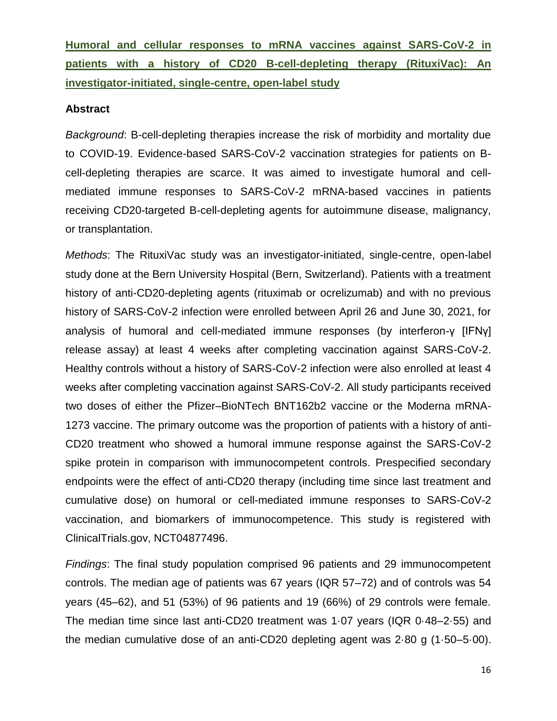**Humoral and cellular responses to mRNA vaccines against SARS-CoV-2 in patients with a history of CD20 B-cell-depleting therapy (RituxiVac): An investigator-initiated, single-centre, open-label study**

#### **Abstract**

*Background*: B-cell-depleting therapies increase the risk of morbidity and mortality due to COVID-19. Evidence-based SARS-CoV-2 vaccination strategies for patients on Bcell-depleting therapies are scarce. It was aimed to investigate humoral and cellmediated immune responses to SARS-CoV-2 mRNA-based vaccines in patients receiving CD20-targeted B-cell-depleting agents for autoimmune disease, malignancy, or transplantation.

*Methods*: The RituxiVac study was an investigator-initiated, single-centre, open-label study done at the Bern University Hospital (Bern, Switzerland). Patients with a treatment history of anti-CD20-depleting agents (rituximab or ocrelizumab) and with no previous history of SARS-CoV-2 infection were enrolled between April 26 and June 30, 2021, for analysis of humoral and cell-mediated immune responses (by interferon-γ [IFNγ] release assay) at least 4 weeks after completing vaccination against SARS-CoV-2. Healthy controls without a history of SARS-CoV-2 infection were also enrolled at least 4 weeks after completing vaccination against SARS-CoV-2. All study participants received two doses of either the Pfizer–BioNTech BNT162b2 vaccine or the Moderna mRNA-1273 vaccine. The primary outcome was the proportion of patients with a history of anti-CD20 treatment who showed a humoral immune response against the SARS-CoV-2 spike protein in comparison with immunocompetent controls. Prespecified secondary endpoints were the effect of anti-CD20 therapy (including time since last treatment and cumulative dose) on humoral or cell-mediated immune responses to SARS-CoV-2 vaccination, and biomarkers of immunocompetence. This study is registered with ClinicalTrials.gov, NCT04877496.

*Findings*: The final study population comprised 96 patients and 29 immunocompetent controls. The median age of patients was 67 years (IQR 57–72) and of controls was 54 years (45–62), and 51 (53%) of 96 patients and 19 (66%) of 29 controls were female. The median time since last anti-CD20 treatment was 1·07 years (IQR 0·48–2·55) and the median cumulative dose of an anti-CD20 depleting agent was 2·80 g (1·50–5·00).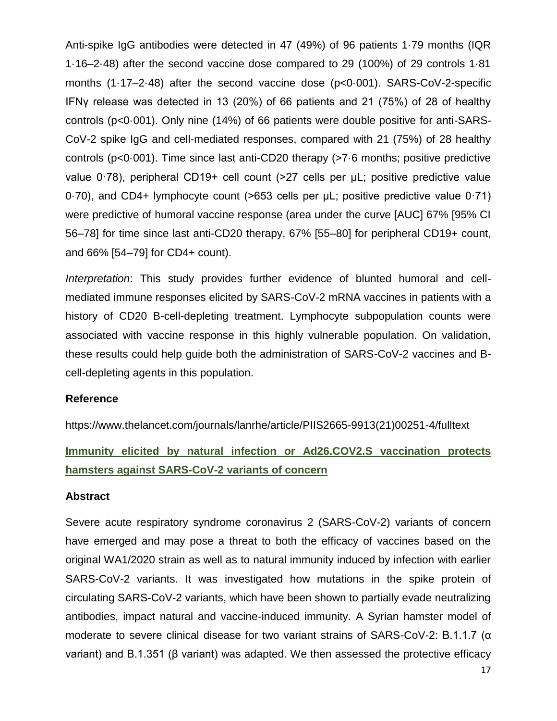Anti-spike IgG antibodies were detected in 47 (49%) of 96 patients 1·79 months (IQR 1·16–2·48) after the second vaccine dose compared to 29 (100%) of 29 controls 1·81 months (1·17–2·48) after the second vaccine dose (p<0·001). SARS-CoV-2-specific IFNγ release was detected in 13 (20%) of 66 patients and 21 (75%) of 28 of healthy controls (p<0·001). Only nine (14%) of 66 patients were double positive for anti-SARS-CoV-2 spike IgG and cell-mediated responses, compared with 21 (75%) of 28 healthy controls (p<0·001). Time since last anti-CD20 therapy (>7·6 months; positive predictive value 0·78), peripheral CD19+ cell count (>27 cells per μL; positive predictive value 0·70), and CD4+ lymphocyte count (>653 cells per μL; positive predictive value 0·71) were predictive of humoral vaccine response (area under the curve [AUC] 67% [95% CI 56–78] for time since last anti-CD20 therapy, 67% [55–80] for peripheral CD19+ count, and 66% [54–79] for CD4+ count).

*Interpretation*: This study provides further evidence of blunted humoral and cellmediated immune responses elicited by SARS-CoV-2 mRNA vaccines in patients with a history of CD20 B-cell-depleting treatment. Lymphocyte subpopulation counts were associated with vaccine response in this highly vulnerable population. On validation, these results could help guide both the administration of SARS-CoV-2 vaccines and Bcell-depleting agents in this population.

#### **Reference**

https://www.thelancet.com/journals/lanrhe/article/PIIS2665-9913(21)00251-4/fulltext

**Immunity elicited by natural infection or Ad26.COV2.S vaccination protects hamsters against SARS-CoV-2 variants of concern**

#### **Abstract**

Severe acute respiratory syndrome coronavirus 2 (SARS-CoV-2) variants of concern have emerged and may pose a threat to both the efficacy of vaccines based on the original WA1/2020 strain as well as to natural immunity induced by infection with earlier SARS-CoV-2 variants. It was investigated how mutations in the spike protein of circulating SARS-CoV-2 variants, which have been shown to partially evade neutralizing antibodies, impact natural and vaccine-induced immunity. A Syrian hamster model of moderate to severe clinical disease for two variant strains of SARS-CoV-2: B.1.1.7 (α variant) and B.1.351 (β variant) was adapted. We then assessed the protective efficacy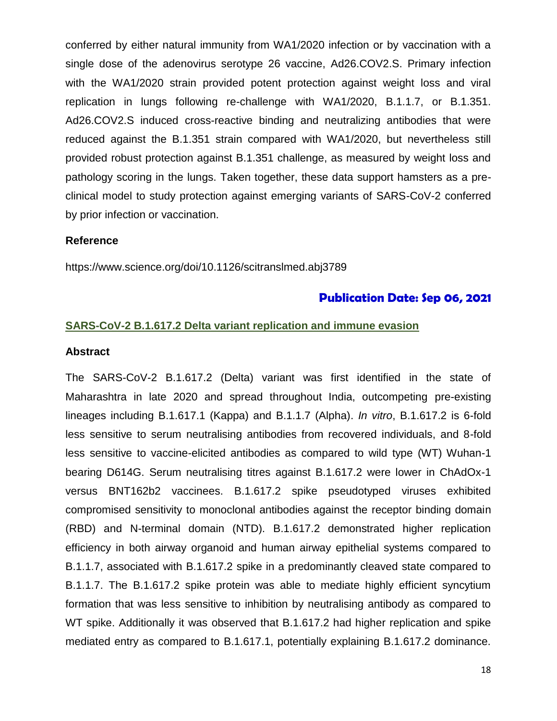conferred by either natural immunity from WA1/2020 infection or by vaccination with a single dose of the adenovirus serotype 26 vaccine, Ad26.COV2.S. Primary infection with the WA1/2020 strain provided potent protection against weight loss and viral replication in lungs following re-challenge with WA1/2020, B.1.1.7, or B.1.351. Ad26.COV2.S induced cross-reactive binding and neutralizing antibodies that were reduced against the B.1.351 strain compared with WA1/2020, but nevertheless still provided robust protection against B.1.351 challenge, as measured by weight loss and pathology scoring in the lungs. Taken together, these data support hamsters as a preclinical model to study protection against emerging variants of SARS-CoV-2 conferred by prior infection or vaccination.

#### **Reference**

https://www.science.org/doi/10.1126/scitranslmed.abj3789

# **Publication Date: Sep 06, 2021**

#### **SARS-CoV-2 B.1.617.2 Delta variant replication and immune evasion**

#### **Abstract**

The SARS-CoV-2 B.1.617.2 (Delta) variant was first identified in the state of Maharashtra in late 2020 and spread throughout India, outcompeting pre-existing lineages including B.1.617.1 (Kappa) and B.1.1.7 (Alpha). *In vitro*, B.1.617.2 is 6-fold less sensitive to serum neutralising antibodies from recovered individuals, and 8-fold less sensitive to vaccine-elicited antibodies as compared to wild type (WT) Wuhan-1 bearing D614G. Serum neutralising titres against B.1.617.2 were lower in ChAdOx-1 versus BNT162b2 vaccinees. B.1.617.2 spike pseudotyped viruses exhibited compromised sensitivity to monoclonal antibodies against the receptor binding domain (RBD) and N-terminal domain (NTD). B.1.617.2 demonstrated higher replication efficiency in both airway organoid and human airway epithelial systems compared to B.1.1.7, associated with B.1.617.2 spike in a predominantly cleaved state compared to B.1.1.7. The B.1.617.2 spike protein was able to mediate highly efficient syncytium formation that was less sensitive to inhibition by neutralising antibody as compared to WT spike. Additionally it was observed that B.1.617.2 had higher replication and spike mediated entry as compared to B.1.617.1, potentially explaining B.1.617.2 dominance.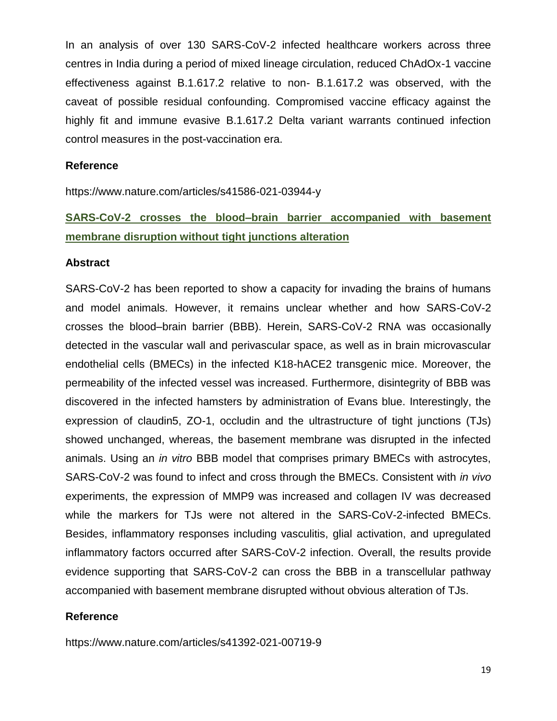In an analysis of over 130 SARS-CoV-2 infected healthcare workers across three centres in India during a period of mixed lineage circulation, reduced ChAdOx-1 vaccine effectiveness against B.1.617.2 relative to non- B.1.617.2 was observed, with the caveat of possible residual confounding. Compromised vaccine efficacy against the highly fit and immune evasive B.1.617.2 Delta variant warrants continued infection control measures in the post-vaccination era.

#### **Reference**

https://www.nature.com/articles/s41586-021-03944-y

# **SARS-CoV-2 crosses the blood–brain barrier accompanied with basement membrane disruption without tight junctions alteration**

#### **Abstract**

SARS-CoV-2 has been reported to show a capacity for invading the brains of humans and model animals. However, it remains unclear whether and how SARS-CoV-2 crosses the blood–brain barrier (BBB). Herein, SARS-CoV-2 RNA was occasionally detected in the vascular wall and perivascular space, as well as in brain microvascular endothelial cells (BMECs) in the infected K18-hACE2 transgenic mice. Moreover, the permeability of the infected vessel was increased. Furthermore, disintegrity of BBB was discovered in the infected hamsters by administration of Evans blue. Interestingly, the expression of claudin5, ZO-1, occludin and the ultrastructure of tight junctions (TJs) showed unchanged, whereas, the basement membrane was disrupted in the infected animals. Using an *in vitro* BBB model that comprises primary BMECs with astrocytes, SARS-CoV-2 was found to infect and cross through the BMECs. Consistent with *in vivo* experiments, the expression of MMP9 was increased and collagen IV was decreased while the markers for TJs were not altered in the SARS-CoV-2-infected BMECs. Besides, inflammatory responses including vasculitis, glial activation, and upregulated inflammatory factors occurred after SARS-CoV-2 infection. Overall, the results provide evidence supporting that SARS-CoV-2 can cross the BBB in a transcellular pathway accompanied with basement membrane disrupted without obvious alteration of TJs.

#### **Reference**

https://www.nature.com/articles/s41392-021-00719-9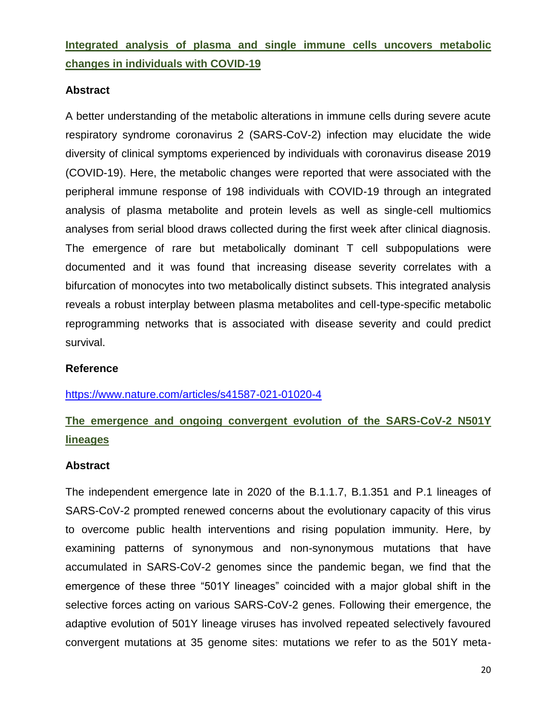**Integrated analysis of plasma and single immune cells uncovers metabolic changes in individuals with COVID-19**

# **Abstract**

A better understanding of the metabolic alterations in immune cells during severe acute respiratory syndrome coronavirus 2 (SARS-CoV-2) infection may elucidate the wide diversity of clinical symptoms experienced by individuals with coronavirus disease 2019 (COVID-19). Here, the metabolic changes were reported that were associated with the peripheral immune response of 198 individuals with COVID-19 through an integrated analysis of plasma metabolite and protein levels as well as single-cell multiomics analyses from serial blood draws collected during the first week after clinical diagnosis. The emergence of rare but metabolically dominant T cell subpopulations were documented and it was found that increasing disease severity correlates with a bifurcation of monocytes into two metabolically distinct subsets. This integrated analysis reveals a robust interplay between plasma metabolites and cell-type-specific metabolic reprogramming networks that is associated with disease severity and could predict survival.

# **Reference**

# <https://www.nature.com/articles/s41587-021-01020-4>

# **The emergence and ongoing convergent evolution of the SARS-CoV-2 N501Y lineages**

#### **Abstract**

The independent emergence late in 2020 of the B.1.1.7, B.1.351 and P.1 lineages of SARS-CoV-2 prompted renewed concerns about the evolutionary capacity of this virus to overcome public health interventions and rising population immunity. Here, by examining patterns of synonymous and non-synonymous mutations that have accumulated in SARS-CoV-2 genomes since the pandemic began, we find that the emergence of these three "501Y lineages" coincided with a major global shift in the selective forces acting on various SARS-CoV-2 genes. Following their emergence, the adaptive evolution of 501Y lineage viruses has involved repeated selectively favoured convergent mutations at 35 genome sites: mutations we refer to as the 501Y meta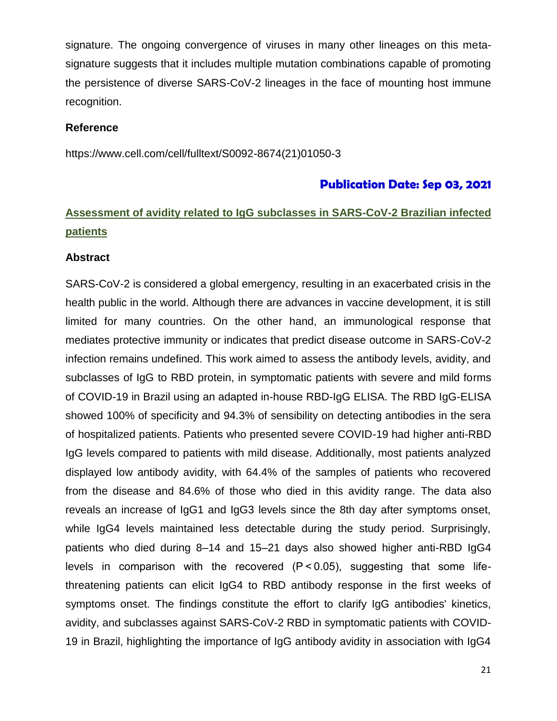signature. The ongoing convergence of viruses in many other lineages on this metasignature suggests that it includes multiple mutation combinations capable of promoting the persistence of diverse SARS-CoV-2 lineages in the face of mounting host immune recognition.

### **Reference**

https://www.cell.com/cell/fulltext/S0092-8674(21)01050-3

# **Publication Date: Sep 03, 2021**

# **Assessment of avidity related to IgG subclasses in SARS-CoV-2 Brazilian infected patients**

#### **Abstract**

SARS-CoV-2 is considered a global emergency, resulting in an exacerbated crisis in the health public in the world. Although there are advances in vaccine development, it is still limited for many countries. On the other hand, an immunological response that mediates protective immunity or indicates that predict disease outcome in SARS-CoV-2 infection remains undefined. This work aimed to assess the antibody levels, avidity, and subclasses of IgG to RBD protein, in symptomatic patients with severe and mild forms of COVID-19 in Brazil using an adapted in-house RBD-IgG ELISA. The RBD IgG-ELISA showed 100% of specificity and 94.3% of sensibility on detecting antibodies in the sera of hospitalized patients. Patients who presented severe COVID-19 had higher anti-RBD IgG levels compared to patients with mild disease. Additionally, most patients analyzed displayed low antibody avidity, with 64.4% of the samples of patients who recovered from the disease and 84.6% of those who died in this avidity range. The data also reveals an increase of IgG1 and IgG3 levels since the 8th day after symptoms onset, while IgG4 levels maintained less detectable during the study period. Surprisingly, patients who died during 8–14 and 15–21 days also showed higher anti-RBD IgG4 levels in comparison with the recovered (P < 0.05), suggesting that some lifethreatening patients can elicit IgG4 to RBD antibody response in the first weeks of symptoms onset. The findings constitute the effort to clarify IgG antibodies' kinetics, avidity, and subclasses against SARS-CoV-2 RBD in symptomatic patients with COVID-19 in Brazil, highlighting the importance of IgG antibody avidity in association with IgG4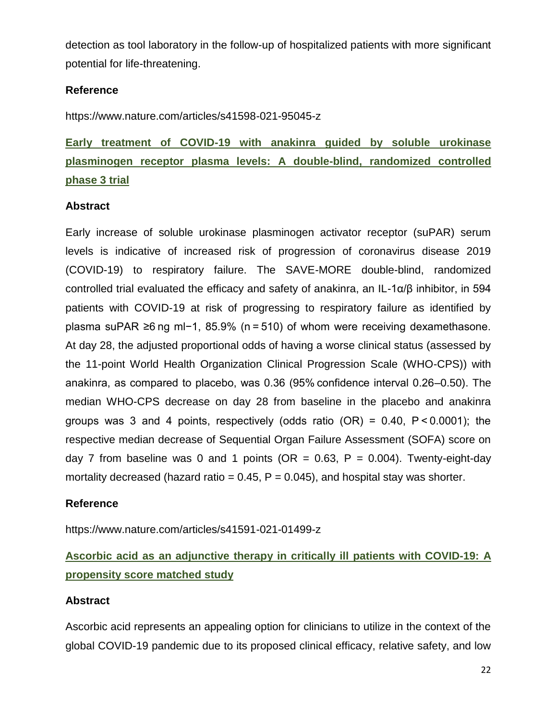detection as tool laboratory in the follow-up of hospitalized patients with more significant potential for life-threatening.

# **Reference**

https://www.nature.com/articles/s41598-021-95045-z

**Early treatment of COVID-19 with anakinra guided by soluble urokinase plasminogen receptor plasma levels: A double-blind, randomized controlled phase 3 trial**

# **Abstract**

Early increase of soluble urokinase plasminogen activator receptor (suPAR) serum levels is indicative of increased risk of progression of coronavirus disease 2019 (COVID-19) to respiratory failure. The SAVE-MORE double-blind, randomized controlled trial evaluated the efficacy and safety of anakinra, an IL-1α/β inhibitor, in 594 patients with COVID-19 at risk of progressing to respiratory failure as identified by plasma suPAR ≥6 ng ml−1, 85.9% (n = 510) of whom were receiving dexamethasone. At day 28, the adjusted proportional odds of having a worse clinical status (assessed by the 11-point World Health Organization Clinical Progression Scale (WHO-CPS)) with anakinra, as compared to placebo, was 0.36 (95% confidence interval 0.26–0.50). The median WHO-CPS decrease on day 28 from baseline in the placebo and anakinra groups was 3 and 4 points, respectively (odds ratio  $(OR) = 0.40$ ,  $P < 0.0001$ ); the respective median decrease of Sequential Organ Failure Assessment (SOFA) score on day 7 from baseline was 0 and 1 points (OR = 0.63, P = 0.004). Twenty-eight-day mortality decreased (hazard ratio =  $0.45$ ,  $P = 0.045$ ), and hospital stay was shorter.

# **Reference**

https://www.nature.com/articles/s41591-021-01499-z

# **Ascorbic acid as an adjunctive therapy in critically ill patients with COVID-19: A propensity score matched study**

# **Abstract**

Ascorbic acid represents an appealing option for clinicians to utilize in the context of the global COVID-19 pandemic due to its proposed clinical efficacy, relative safety, and low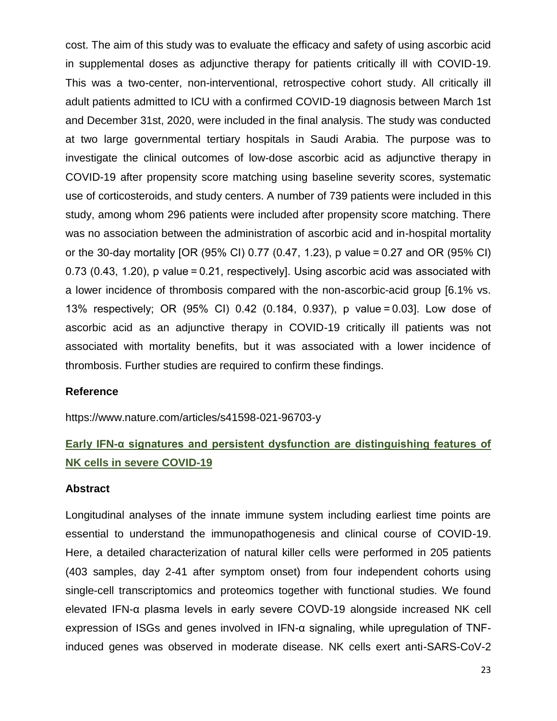cost. The aim of this study was to evaluate the efficacy and safety of using ascorbic acid in supplemental doses as adjunctive therapy for patients critically ill with COVID-19. This was a two-center, non-interventional, retrospective cohort study. All critically ill adult patients admitted to ICU with a confirmed COVID-19 diagnosis between March 1st and December 31st, 2020, were included in the final analysis. The study was conducted at two large governmental tertiary hospitals in Saudi Arabia. The purpose was to investigate the clinical outcomes of low-dose ascorbic acid as adjunctive therapy in COVID-19 after propensity score matching using baseline severity scores, systematic use of corticosteroids, and study centers. A number of 739 patients were included in this study, among whom 296 patients were included after propensity score matching. There was no association between the administration of ascorbic acid and in-hospital mortality or the 30-day mortality [OR (95% CI) 0.77 (0.47, 1.23), p value = 0.27 and OR (95% CI) 0.73 (0.43, 1.20), p value = 0.21, respectively]. Using ascorbic acid was associated with a lower incidence of thrombosis compared with the non-ascorbic-acid group [6.1% vs. 13% respectively; OR (95% CI) 0.42 (0.184, 0.937), p value = 0.03]. Low dose of ascorbic acid as an adjunctive therapy in COVID-19 critically ill patients was not associated with mortality benefits, but it was associated with a lower incidence of thrombosis. Further studies are required to confirm these findings.

#### **Reference**

https://www.nature.com/articles/s41598-021-96703-y

# **Early IFN-α signatures and persistent dysfunction are distinguishing features of NK cells in severe COVID-19**

#### **Abstract**

Longitudinal analyses of the innate immune system including earliest time points are essential to understand the immunopathogenesis and clinical course of COVID-19. Here, a detailed characterization of natural killer cells were performed in 205 patients (403 samples, day 2-41 after symptom onset) from four independent cohorts using single-cell transcriptomics and proteomics together with functional studies. We found elevated IFN-α plasma levels in early severe COVD-19 alongside increased NK cell expression of ISGs and genes involved in IFN-α signaling, while upregulation of TNFinduced genes was observed in moderate disease. NK cells exert anti-SARS-CoV-2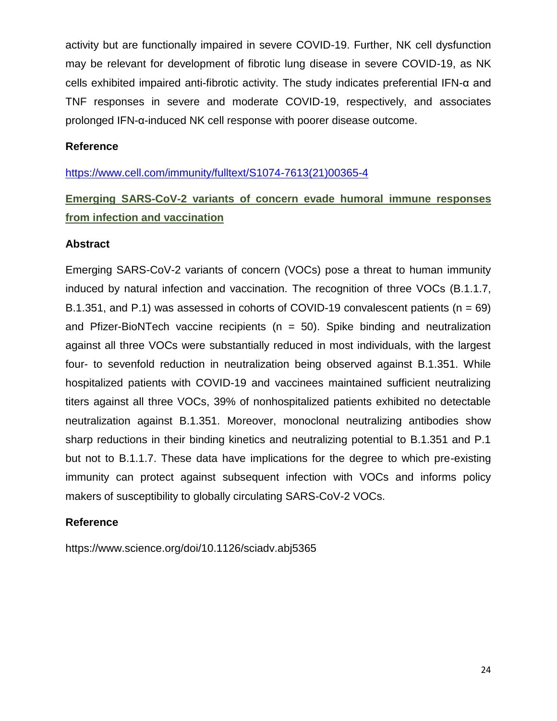activity but are functionally impaired in severe COVID-19. Further, NK cell dysfunction may be relevant for development of fibrotic lung disease in severe COVID-19, as NK cells exhibited impaired anti-fibrotic activity. The study indicates preferential IFN-α and TNF responses in severe and moderate COVID-19, respectively, and associates prolonged IFN-α-induced NK cell response with poorer disease outcome.

### **Reference**

[https://www.cell.com/immunity/fulltext/S1074-7613\(21\)00365-4](https://www.cell.com/immunity/fulltext/S1074-7613(21)00365-4)

# **Emerging SARS-CoV-2 variants of concern evade humoral immune responses from infection and vaccination**

# **Abstract**

Emerging SARS-CoV-2 variants of concern (VOCs) pose a threat to human immunity induced by natural infection and vaccination. The recognition of three VOCs (B.1.1.7, B.1.351, and P.1) was assessed in cohorts of COVID-19 convalescent patients ( $n = 69$ ) and Pfizer-BioNTech vaccine recipients ( $n = 50$ ). Spike binding and neutralization against all three VOCs were substantially reduced in most individuals, with the largest four- to sevenfold reduction in neutralization being observed against B.1.351. While hospitalized patients with COVID-19 and vaccinees maintained sufficient neutralizing titers against all three VOCs, 39% of nonhospitalized patients exhibited no detectable neutralization against B.1.351. Moreover, monoclonal neutralizing antibodies show sharp reductions in their binding kinetics and neutralizing potential to B.1.351 and P.1 but not to B.1.1.7. These data have implications for the degree to which pre-existing immunity can protect against subsequent infection with VOCs and informs policy makers of susceptibility to globally circulating SARS-CoV-2 VOCs.

# **Reference**

https://www.science.org/doi/10.1126/sciadv.abj5365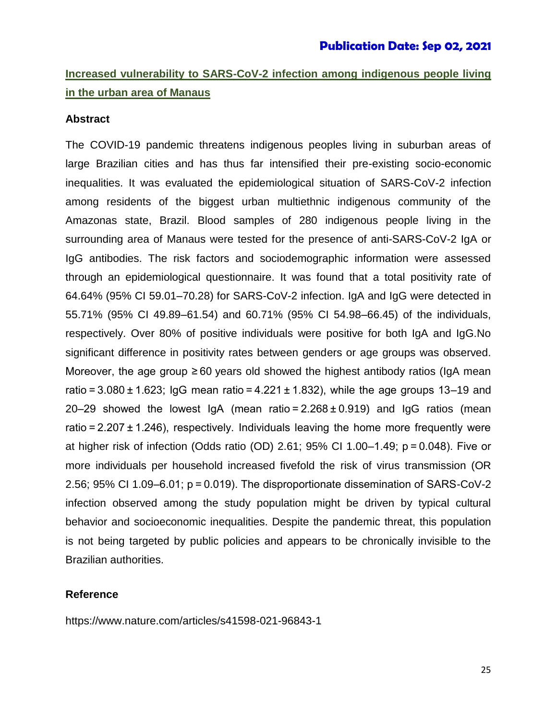# **Increased vulnerability to SARS-CoV-2 infection among indigenous people living in the urban area of Manaus**

#### **Abstract**

The COVID-19 pandemic threatens indigenous peoples living in suburban areas of large Brazilian cities and has thus far intensified their pre-existing socio-economic inequalities. It was evaluated the epidemiological situation of SARS-CoV-2 infection among residents of the biggest urban multiethnic indigenous community of the Amazonas state, Brazil. Blood samples of 280 indigenous people living in the surrounding area of Manaus were tested for the presence of anti-SARS-CoV-2 IgA or IgG antibodies. The risk factors and sociodemographic information were assessed through an epidemiological questionnaire. It was found that a total positivity rate of 64.64% (95% CI 59.01–70.28) for SARS-CoV-2 infection. IgA and IgG were detected in 55.71% (95% CI 49.89–61.54) and 60.71% (95% CI 54.98–66.45) of the individuals, respectively. Over 80% of positive individuals were positive for both IgA and IgG.No significant difference in positivity rates between genders or age groups was observed. Moreover, the age group  $\geq 60$  years old showed the highest antibody ratios (IgA mean ratio $=$  3.080 $\pm$ 1.623; IgG mean ratio $=$  4.221 $\pm$  1.832), while the age groups 13–19 and 20–29 showed the lowest IgA (mean ratio $= 2.268 \pm 0.919$ ) and IgG ratios (mean ratio $= 2.207 \pm 1.246$ ), respectively. Individuals leaving the home more frequently were at higher risk of infection (Odds ratio (OD) 2.61; 95% CI 1.00–1.49; p = 0.048). Five or more individuals per household increased fivefold the risk of virus transmission (OR 2.56; 95% CI 1.09–6.01; p = 0.019). The disproportionate dissemination of SARS-CoV-2 infection observed among the study population might be driven by typical cultural behavior and socioeconomic inequalities. Despite the pandemic threat, this population is not being targeted by public policies and appears to be chronically invisible to the Brazilian authorities.

#### **Reference**

https://www.nature.com/articles/s41598-021-96843-1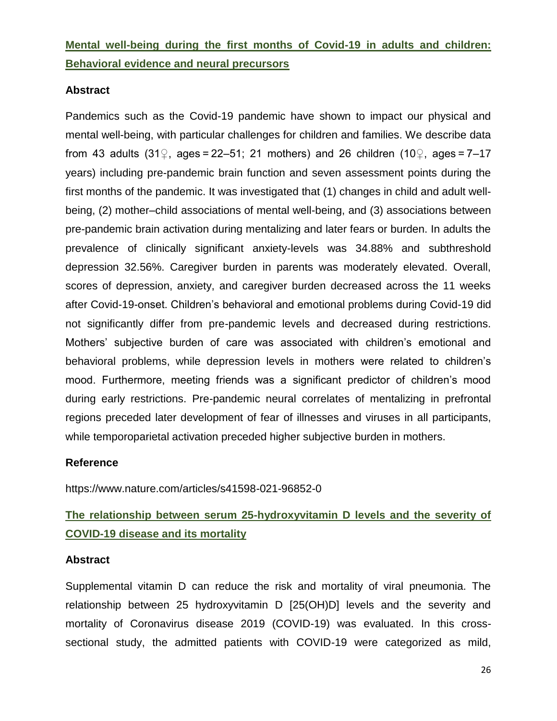**Mental well-being during the first months of Covid-19 in adults and children: Behavioral evidence and neural precursors**

# **Abstract**

Pandemics such as the Covid-19 pandemic have shown to impact our physical and mental well-being, with particular challenges for children and families. We describe data from 43 adults (31♀, ages = 22–51; 21 mothers) and 26 children (10♀, ages = 7–17 years) including pre-pandemic brain function and seven assessment points during the first months of the pandemic. It was investigated that (1) changes in child and adult wellbeing, (2) mother–child associations of mental well-being, and (3) associations between pre-pandemic brain activation during mentalizing and later fears or burden. In adults the prevalence of clinically significant anxiety-levels was 34.88% and subthreshold depression 32.56%. Caregiver burden in parents was moderately elevated. Overall, scores of depression, anxiety, and caregiver burden decreased across the 11 weeks after Covid-19-onset. Children's behavioral and emotional problems during Covid-19 did not significantly differ from pre-pandemic levels and decreased during restrictions. Mothers' subjective burden of care was associated with children's emotional and behavioral problems, while depression levels in mothers were related to children's mood. Furthermore, meeting friends was a significant predictor of children's mood during early restrictions. Pre-pandemic neural correlates of mentalizing in prefrontal regions preceded later development of fear of illnesses and viruses in all participants, while temporoparietal activation preceded higher subjective burden in mothers.

# **Reference**

https://www.nature.com/articles/s41598-021-96852-0

# **The relationship between serum 25-hydroxyvitamin D levels and the severity of COVID-19 disease and its mortality**

# **Abstract**

Supplemental vitamin D can reduce the risk and mortality of viral pneumonia. The relationship between 25 hydroxyvitamin D [25(OH)D] levels and the severity and mortality of Coronavirus disease 2019 (COVID-19) was evaluated. In this crosssectional study, the admitted patients with COVID-19 were categorized as mild,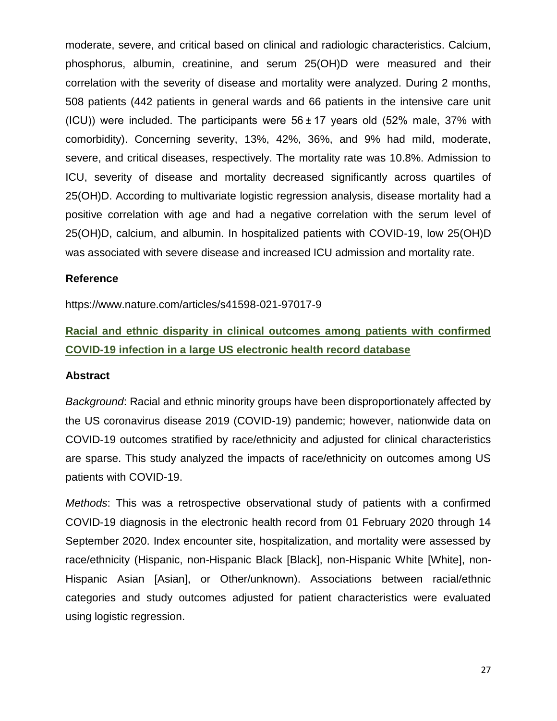moderate, severe, and critical based on clinical and radiologic characteristics. Calcium, phosphorus, albumin, creatinine, and serum 25(OH)D were measured and their correlation with the severity of disease and mortality were analyzed. During 2 months, 508 patients (442 patients in general wards and 66 patients in the intensive care unit (ICU)) were included. The participants were  $56 \pm 17$  years old (52% male, 37% with comorbidity). Concerning severity, 13%, 42%, 36%, and 9% had mild, moderate, severe, and critical diseases, respectively. The mortality rate was 10.8%. Admission to ICU, severity of disease and mortality decreased significantly across quartiles of 25(OH)D. According to multivariate logistic regression analysis, disease mortality had a positive correlation with age and had a negative correlation with the serum level of 25(OH)D, calcium, and albumin. In hospitalized patients with COVID-19, low 25(OH)D was associated with severe disease and increased ICU admission and mortality rate.

#### **Reference**

https://www.nature.com/articles/s41598-021-97017-9

# **Racial and ethnic disparity in clinical outcomes among patients with confirmed COVID-19 infection in a large US electronic health record database**

#### **Abstract**

*Background*: Racial and ethnic minority groups have been disproportionately affected by the US coronavirus disease 2019 (COVID-19) pandemic; however, nationwide data on COVID-19 outcomes stratified by race/ethnicity and adjusted for clinical characteristics are sparse. This study analyzed the impacts of race/ethnicity on outcomes among US patients with COVID-19.

*Methods*: This was a retrospective observational study of patients with a confirmed COVID-19 diagnosis in the electronic health record from 01 February 2020 through 14 September 2020. Index encounter site, hospitalization, and mortality were assessed by race/ethnicity (Hispanic, non-Hispanic Black [Black], non-Hispanic White [White], non-Hispanic Asian [Asian], or Other/unknown). Associations between racial/ethnic categories and study outcomes adjusted for patient characteristics were evaluated using logistic regression.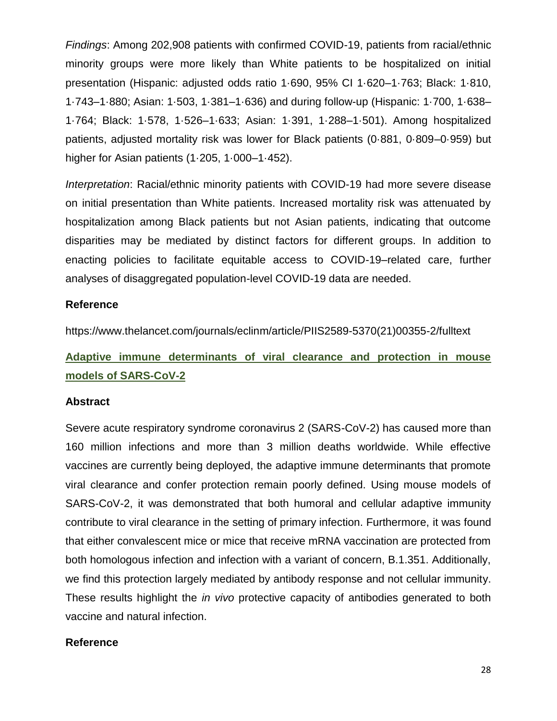*Findings*: Among 202,908 patients with confirmed COVID-19, patients from racial/ethnic minority groups were more likely than White patients to be hospitalized on initial presentation (Hispanic: adjusted odds ratio 1·690, 95% CI 1·620–1·763; Black: 1·810, 1·743–1·880; Asian: 1·503, 1·381–1·636) and during follow-up (Hispanic: 1·700, 1·638– 1·764; Black: 1·578, 1·526–1·633; Asian: 1·391, 1·288–1·501). Among hospitalized patients, adjusted mortality risk was lower for Black patients (0·881, 0·809–0·959) but higher for Asian patients (1·205, 1·000–1·452).

*Interpretation*: Racial/ethnic minority patients with COVID-19 had more severe disease on initial presentation than White patients. Increased mortality risk was attenuated by hospitalization among Black patients but not Asian patients, indicating that outcome disparities may be mediated by distinct factors for different groups. In addition to enacting policies to facilitate equitable access to COVID-19–related care, further analyses of disaggregated population-level COVID-19 data are needed.

#### **Reference**

https://www.thelancet.com/journals/eclinm/article/PIIS2589-5370(21)00355-2/fulltext

# **Adaptive immune determinants of viral clearance and protection in mouse models of SARS-CoV-2**

#### **Abstract**

Severe acute respiratory syndrome coronavirus 2 (SARS-CoV-2) has caused more than 160 million infections and more than 3 million deaths worldwide. While effective vaccines are currently being deployed, the adaptive immune determinants that promote viral clearance and confer protection remain poorly defined. Using mouse models of SARS-CoV-2, it was demonstrated that both humoral and cellular adaptive immunity contribute to viral clearance in the setting of primary infection. Furthermore, it was found that either convalescent mice or mice that receive mRNA vaccination are protected from both homologous infection and infection with a variant of concern, B.1.351. Additionally, we find this protection largely mediated by antibody response and not cellular immunity. These results highlight the *in vivo* protective capacity of antibodies generated to both vaccine and natural infection.

# **Reference**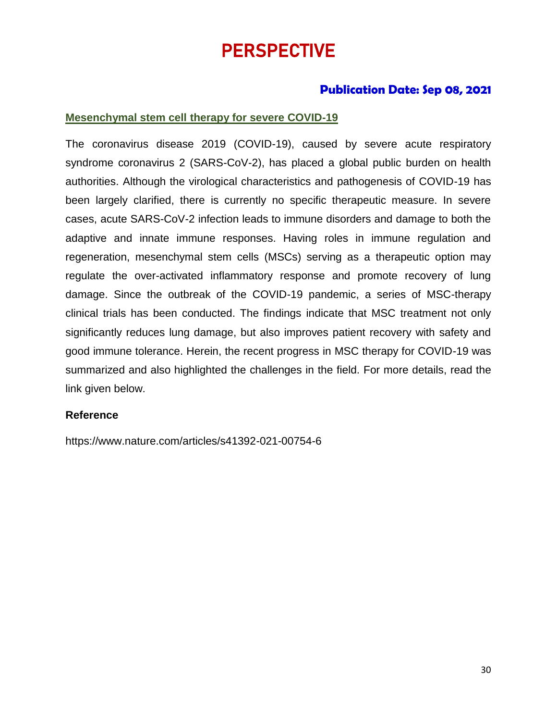# PERSPECTIVE

# **Publication Date: Sep 08, 2021**

# **Mesenchymal stem cell therapy for severe COVID-19**

The coronavirus disease 2019 (COVID-19), caused by severe acute respiratory syndrome coronavirus 2 (SARS-CoV-2), has placed a global public burden on health authorities. Although the virological characteristics and pathogenesis of COVID-19 has been largely clarified, there is currently no specific therapeutic measure. In severe cases, acute SARS-CoV-2 infection leads to immune disorders and damage to both the adaptive and innate immune responses. Having roles in immune regulation and regeneration, mesenchymal stem cells (MSCs) serving as a therapeutic option may regulate the over-activated inflammatory response and promote recovery of lung damage. Since the outbreak of the COVID-19 pandemic, a series of MSC-therapy clinical trials has been conducted. The findings indicate that MSC treatment not only significantly reduces lung damage, but also improves patient recovery with safety and good immune tolerance. Herein, the recent progress in MSC therapy for COVID-19 was summarized and also highlighted the challenges in the field. For more details, read the link given below.

# **Reference**

https://www.nature.com/articles/s41392-021-00754-6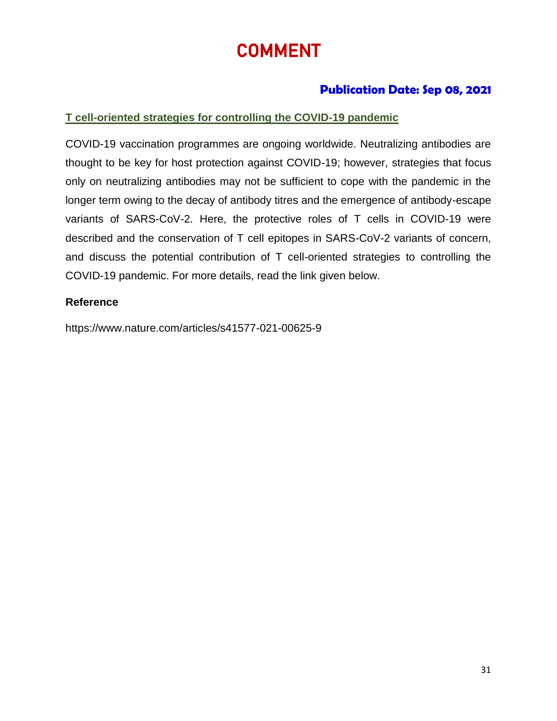# COMMENT

# **Publication Date: Sep 08, 2021**

# **T cell-oriented strategies for controlling the COVID-19 pandemic**

COVID-19 vaccination programmes are ongoing worldwide. Neutralizing antibodies are thought to be key for host protection against COVID-19; however, strategies that focus only on neutralizing antibodies may not be sufficient to cope with the pandemic in the longer term owing to the decay of antibody titres and the emergence of antibody-escape variants of SARS-CoV-2. Here, the protective roles of T cells in COVID-19 were described and the conservation of T cell epitopes in SARS-CoV-2 variants of concern, and discuss the potential contribution of T cell-oriented strategies to controlling the COVID-19 pandemic. For more details, read the link given below.

# **Reference**

https://www.nature.com/articles/s41577-021-00625-9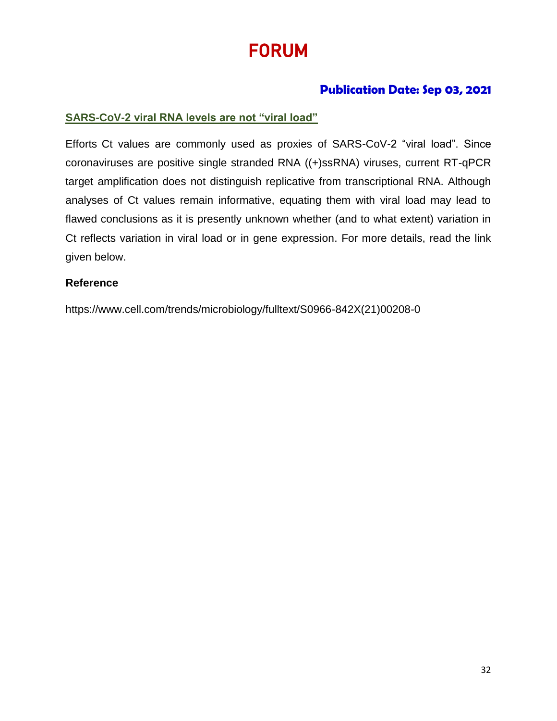# FORUM

# **Publication Date: Sep 03, 2021**

# **SARS-CoV-2 viral RNA levels are not "viral load"**

Efforts Ct values are commonly used as proxies of SARS-CoV-2 "viral load". Since coronaviruses are positive single stranded RNA ((+)ssRNA) viruses, current RT-qPCR target amplification does not distinguish replicative from transcriptional RNA. Although analyses of Ct values remain informative, equating them with viral load may lead to flawed conclusions as it is presently unknown whether (and to what extent) variation in Ct reflects variation in viral load or in gene expression. For more details, read the link given below.

# **Reference**

https://www.cell.com/trends/microbiology/fulltext/S0966-842X(21)00208-0